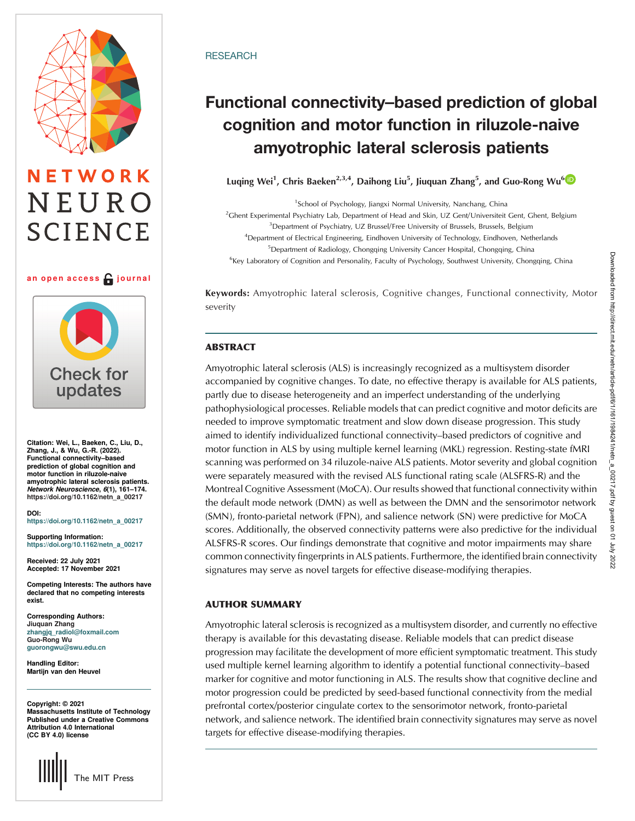# ETWORK NEURO **SCIENCE**

### an open access  $\bigcap$  journal



Citation: Wei, L., Baeken, C., Liu, D., Zhang, J., & Wu, G.-R. (2022). Functional connectivity–based prediction of global cognition and motor function in riluzole-naive amyotrophic lateral sclerosis patients. Network Neuroscience, 6(1), 161–174. [https://doi.org/10.1162/netn\\_a\\_00217](https://doi.org/10.1162/netn_a_00217)

DOI: [https://doi.org/10.1162/netn\\_a\\_00217](https://doi.org/10.1162/netn_a_00217)

Supporting Information: [https://doi.org/10.1162/netn\\_a\\_00217](https://doi.org/10.1162/netn_a_00217)

Received: 22 July 2021 Accepted: 17 November 2021

Competing Interests: The authors have declared that no competing interests exist.

Corresponding Authors: Jiuquan Zhang [zhangjq\\_radiol@foxmail.com](mailto:zhangjq_radiol@foxmail.com) Guo-Rong Wu [guorongwu@swu.edu.cn](mailto:guorongwu@swu.edu.cn)

Handling Editor: Martijn van den Heuvel

Copyright: © 2021 Massachusetts Institute of Technology Published under a Creative Commons Attribution 4.0 International (CC BY 4.0) license



# **RESEARCH**

# Functional connectivity–based prediction of global cognition and motor function in riluzole-naive amyotrophic lateral sclerosis patients

Luqing Wei<sup>1</sup>, Chris Baeken<sup>2,3,4</sup>, Daihong Liu<sup>5</sup>, Jiuquan Zhang<sup>5</sup>, and Guo-Rong Wu<sup>6</sup>

<sup>1</sup>School of Psychology, Jiangxi Normal University, Nanchang, China 2 Ghent Experimental Psychiatry Lab, Department of Head and Skin, UZ Gent/Universiteit Gent, Ghent, Belgium <sup>3</sup> Department of Psychiatry, UZ Brussel/Free University of Brussels, Brussels, Belgium <sup>4</sup>Department of Electrical Engineering, Eindhoven University of Technology, Eindhoven, Netherlands <sup>5</sup>Department of Radiology, Chongqing University Cancer Hospital, Chongqing, China <sup>6</sup>Key Laboratory of Cognition and Personality, Faculty of Psychology, Southwest University, Chongqing, China

Keywords: Amyotrophic lateral sclerosis, Cognitive changes, Functional connectivity, Motor severity

# **ABSTRACT**

Amyotrophic lateral sclerosis (ALS) is increasingly recognized as a multisystem disorder accompanied by cognitive changes. To date, no effective therapy is available for ALS patients, partly due to disease heterogeneity and an imperfect understanding of the underlying pathophysiological processes. Reliable models that can predict cognitive and motor deficits are needed to improve symptomatic treatment and slow down disease progression. This study aimed to identify individualized functional connectivity–based predictors of cognitive and motor function in ALS by using multiple kernel learning (MKL) regression. Resting-state fMRI scanning was performed on 34 riluzole-naive ALS patients. Motor severity and global cognition were separately measured with the revised ALS functional rating scale (ALSFRS-R) and the Montreal Cognitive Assessment (MoCA). Our results showed that functional connectivity within the default mode network (DMN) as well as between the DMN and the sensorimotor network (SMN), fronto-parietal network (FPN), and salience network (SN) were predictive for MoCA scores. Additionally, the observed connectivity patterns were also predictive for the individual ALSFRS-R scores. Our findings demonstrate that cognitive and motor impairments may share common connectivity fingerprints in ALS patients. Furthermore, the identified brain connectivity signatures may serve as novel targets for effective disease-modifying therapies.

# AUTHOR SUMMARY

Amyotrophic lateral sclerosis is recognized as a multisystem disorder, and currently no effective therapy is available for this devastating disease. Reliable models that can predict disease progression may facilitate the development of more efficient symptomatic treatment. This study used multiple kernel learning algorithm to identify a potential functional connectivity–based marker for cognitive and motor functioning in ALS. The results show that cognitive decline and motor progression could be predicted by seed-based functional connectivity from the medial prefrontal cortex/posterior cingulate cortex to the sensorimotor network, fronto-parietal network, and salience network. The identified brain connectivity signatures may serve as novel targets for effective disease-modifying therapies.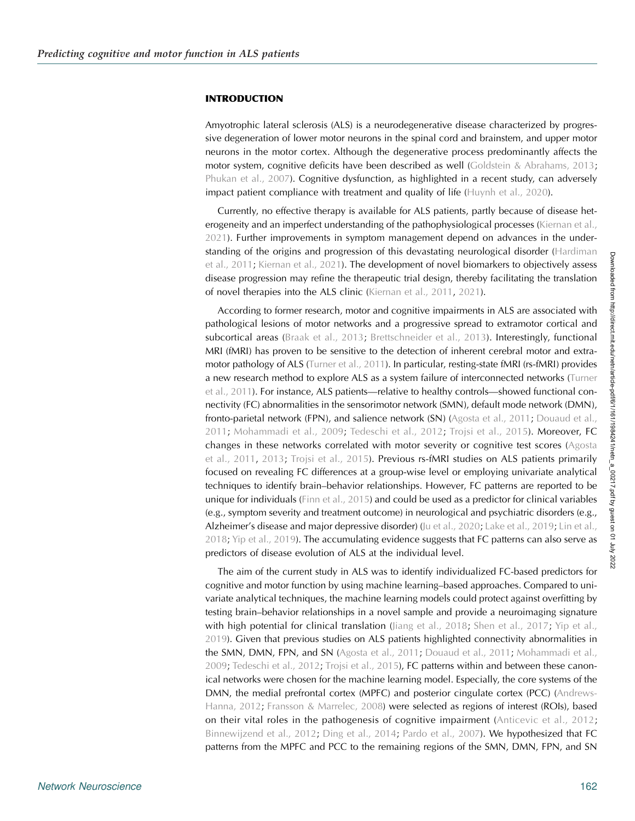#### INTRODUCTION

Amyotrophic lateral sclerosis (ALS) is a neurodegenerative disease characterized by progressive degeneration of lower motor neurons in the spinal cord and brainstem, and upper motor neurons in the motor cortex. Although the degenerative process predominantly affects the motor system, cognitive deficits have been described as well [\(Goldstein & Abrahams, 2013](#page-11-0); [Phukan et al., 2007\)](#page-12-0). Cognitive dysfunction, as highlighted in a recent study, can adversely impact patient compliance with treatment and quality of life [\(Huynh et al., 2020](#page-11-0)).

Currently, no effective therapy is available for ALS patients, partly because of disease het-erogeneity and an imperfect understanding of the pathophysiological processes [\(Kiernan et al.,](#page-12-0) [2021](#page-12-0)). Further improvements in symptom management depend on advances in the understanding of the origins and progression of this devastating neurological disorder [\(Hardiman](#page-11-0) [et al., 2011;](#page-11-0) [Kiernan et al., 2021](#page-12-0)). The development of novel biomarkers to objectively assess disease progression may refine the therapeutic trial design, thereby facilitating the translation of novel therapies into the ALS clinic ([Kiernan et al., 2011,](#page-12-0) [2021](#page-12-0)).

According to former research, motor and cognitive impairments in ALS are associated with pathological lesions of motor networks and a progressive spread to extramotor cortical and subcortical areas ([Braak et al., 2013;](#page-10-0) [Brettschneider et al., 2013](#page-10-0)). Interestingly, functional MRI (fMRI) has proven to be sensitive to the detection of inherent cerebral motor and extra-motor pathology of ALS ([Turner et al., 2011\)](#page-13-0). In particular, resting-state fMRI (rs-fMRI) provides a new research method to explore ALS as a system failure of interconnected networks ([Turner](#page-13-0) [et al., 2011](#page-13-0)). For instance, ALS patients—relative to healthy controls—showed functional connectivity (FC) abnormalities in the sensorimotor network (SMN), default mode network (DMN), fronto-parietal network (FPN), and salience network (SN) [\(Agosta et al., 2011;](#page-10-0) [Douaud et al.,](#page-11-0) [2011](#page-11-0); [Mohammadi et al., 2009](#page-12-0); [Tedeschi et al., 2012](#page-13-0); [Trojsi et al., 2015](#page-13-0)). Moreover, FC changes in these networks correlated with motor severity or cognitive test scores ([Agosta](#page-10-0) [et al., 2011,](#page-10-0) [2013](#page-10-0); [Trojsi et al., 2015\)](#page-13-0). Previous rs-fMRI studies on ALS patients primarily focused on revealing FC differences at a group-wise level or employing univariate analytical techniques to identify brain–behavior relationships. However, FC patterns are reported to be unique for individuals [\(Finn et al., 2015\)](#page-11-0) and could be used as a predictor for clinical variables (e.g., symptom severity and treatment outcome) in neurological and psychiatric disorders (e.g., Alzheimer's disease and major depressive disorder) ([Ju et al., 2020](#page-12-0); [Lake et al., 2019](#page-12-0); [Lin et al.,](#page-12-0) [2018;](#page-12-0) [Yip et al., 2019](#page-13-0)). The accumulating evidence suggests that FC patterns can also serve as predictors of disease evolution of ALS at the individual level.

The aim of the current study in ALS was to identify individualized FC-based predictors for cognitive and motor function by using machine learning–based approaches. Compared to univariate analytical techniques, the machine learning models could protect against overfitting by testing brain–behavior relationships in a novel sample and provide a neuroimaging signature with high potential for clinical translation ([Jiang et al., 2018;](#page-11-0) [Shen et al., 2017](#page-13-0); [Yip et al.,](#page-13-0) [2019\)](#page-13-0). Given that previous studies on ALS patients highlighted connectivity abnormalities in the SMN, DMN, FPN, and SN [\(Agosta et al., 2011](#page-10-0); [Douaud et al., 2011;](#page-11-0) [Mohammadi et al.,](#page-12-0) [2009;](#page-12-0) [Tedeschi et al., 2012;](#page-13-0) [Trojsi et al., 2015\)](#page-13-0), FC patterns within and between these canonical networks were chosen for the machine learning model. Especially, the core systems of the DMN, the medial prefrontal cortex (MPFC) and posterior cingulate cortex (PCC) [\(Andrews-](#page-10-0)[Hanna, 2012;](#page-10-0) [Fransson & Marrelec, 2008](#page-11-0)) were selected as regions of interest (ROIs), based on their vital roles in the pathogenesis of cognitive impairment ([Anticevic et al., 2012](#page-10-0); [Binnewijzend et al., 2012](#page-10-0); [Ding et al., 2014](#page-11-0); [Pardo et al., 2007](#page-12-0)). We hypothesized that FC patterns from the MPFC and PCC to the remaining regions of the SMN, DMN, FPN, and SN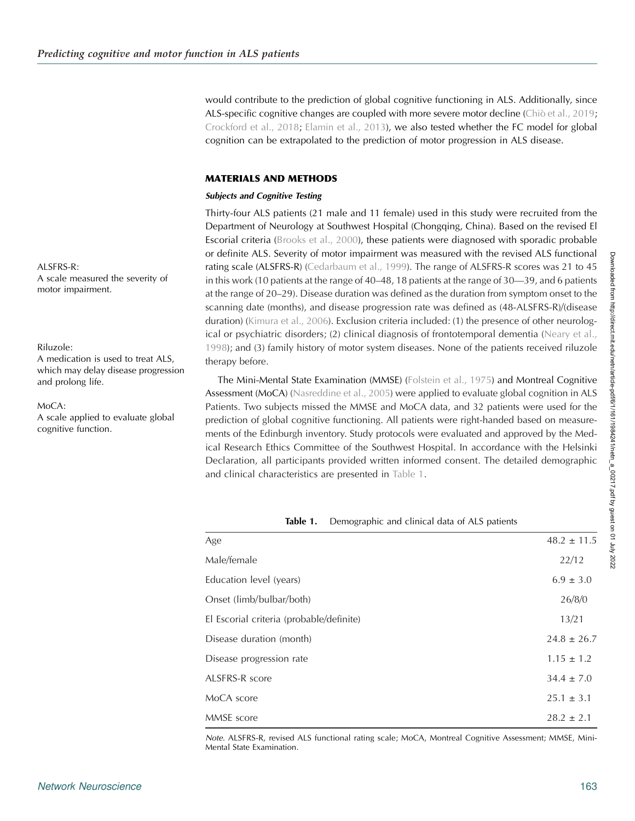would contribute to the prediction of global cognitive functioning in ALS. Additionally, since ALS-specific cognitive changes are coupled with more severe motor decline ([Chiò et al., 2019](#page-11-0); [Crockford et al., 2018;](#page-11-0) [Elamin et al., 2013](#page-11-0)), we also tested whether the FC model for global cognition can be extrapolated to the prediction of motor progression in ALS disease.

# MATERIALS AND METHODS

### Subjects and Cognitive Testing

Thirty-four ALS patients (21 male and 11 female) used in this study were recruited from the Department of Neurology at Southwest Hospital (Chongqing, China). Based on the revised El Escorial criteria ([Brooks et al., 2000](#page-10-0)), these patients were diagnosed with sporadic probable or definite ALS. Severity of motor impairment was measured with the revised ALS functional rating scale (ALSFRS-R) ([Cedarbaum et al., 1999](#page-10-0)). The range of ALSFRS-R scores was 21 to 45 in this work (10 patients at the range of 40–48, 18 patients at the range of 30—39, and 6 patients at the range of 20–29). Disease duration was defined as the duration from symptom onset to the scanning date (months), and disease progression rate was defined as (48-ALSFRS-R)/(disease duration) [\(Kimura et al., 2006\)](#page-12-0). Exclusion criteria included: (1) the presence of other neurological or psychiatric disorders; (2) clinical diagnosis of frontotemporal dementia ([Neary et al.,](#page-12-0) [1998\)](#page-12-0); and (3) family history of motor system diseases. None of the patients received riluzole therapy before.

The Mini-Mental State Examination (MMSE) [\(Folstein et al., 1975](#page-11-0)) and Montreal Cognitive Assessment (MoCA) ([Nasreddine et al., 2005](#page-12-0)) were applied to evaluate global cognition in ALS Patients. Two subjects missed the MMSE and MoCA data, and 32 patients were used for the prediction of global cognitive functioning. All patients were right-handed based on measurements of the Edinburgh inventory. Study protocols were evaluated and approved by the Medical Research Ethics Committee of the Southwest Hospital. In accordance with the Helsinki Declaration, all participants provided written informed consent. The detailed demographic and clinical characteristics are presented in Table 1.

Table 1. Demographic and clinical data of ALS patients

| Age                                      | $48.2 \pm 11.5$ |
|------------------------------------------|-----------------|
|                                          |                 |
| Male/female                              | 22/12           |
| Education level (years)                  | $6.9 \pm 3.0$   |
| Onset (limb/bulbar/both)                 | 26/8/0          |
| El Escorial criteria (probable/definite) | 13/21           |
| Disease duration (month)                 | $24.8 \pm 26.7$ |
| Disease progression rate                 | $1.15 \pm 1.2$  |
| ALSFRS-R score                           | $34.4 \pm 7.0$  |
| MoCA score                               | $25.1 \pm 3.1$  |
| MMSE score                               | $28.2 \pm 2.1$  |

Note. ALSFRS-R, revised ALS functional rating scale; MoCA, Montreal Cognitive Assessment; MMSE, Mini-Mental State Examination.

Downloaded from http://direct.mit.edu/netr/article-pdf/6/1/191/1984241/netn\_a\_00217.pdf by guest on 01 July 2022 Downloaded from http://direct.mit.edu/netn/article-pdf/6/1/161/1984241/netn\_a\_00217.pdf by guest on 01 July 2022

ALSERS-R $\cdot$ 

A scale measured the severity of motor impairment.

### Riluzole:

A medication is used to treat ALS, which may delay disease progression and prolong life.

#### MoCA:

A scale applied to evaluate global cognitive function.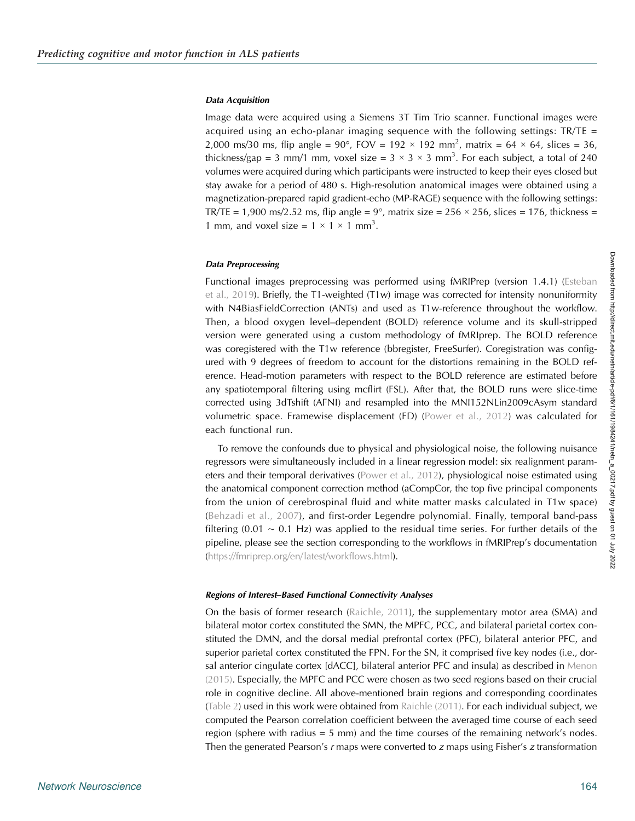#### Data Acquisition

Image data were acquired using a Siemens 3T Tim Trio scanner. Functional images were acquired using an echo-planar imaging sequence with the following settings:  $TR/TE =$ 2,000 ms/30 ms, flip angle = 90°, FOV = 192  $\times$  192 mm<sup>2</sup>, matrix = 64  $\times$  64, slices = 36, thickness/gap = 3 mm/1 mm, voxel size =  $3 \times 3 \times 3$  mm<sup>3</sup>. For each subject, a total of 240 volumes were acquired during which participants were instructed to keep their eyes closed but stay awake for a period of 480 s. High-resolution anatomical images were obtained using a magnetization-prepared rapid gradient-echo (MP-RAGE) sequence with the following settings: TR/TE = 1,900 ms/2.52 ms, flip angle =  $9^{\circ}$ , matrix size = 256  $\times$  256, slices = 176, thickness = 1 mm, and voxel size =  $1 \times 1 \times 1$  mm<sup>3</sup>.

#### Data Preprocessing

Functional images preprocessing was performed using fMRIPrep (version 1.4.1) ([Esteban](#page-11-0) [et al., 2019\)](#page-11-0). Briefly, the T1-weighted  $(T1w)$  image was corrected for intensity nonuniformity with N4BiasFieldCorrection (ANTs) and used as T1w-reference throughout the workflow. Then, a blood oxygen level–dependent (BOLD) reference volume and its skull-stripped version were generated using a custom methodology of fMRIprep. The BOLD reference was coregistered with the T1w reference (bbregister, FreeSurfer). Coregistration was configured with 9 degrees of freedom to account for the distortions remaining in the BOLD reference. Head-motion parameters with respect to the BOLD reference are estimated before any spatiotemporal filtering using mcflirt (FSL). After that, the BOLD runs were slice-time corrected using 3dTshift (AFNI) and resampled into the MNI152NLin2009cAsym standard volumetric space. Framewise displacement (FD) [\(Power et al., 2012](#page-12-0)) was calculated for each functional run.

To remove the confounds due to physical and physiological noise, the following nuisance regressors were simultaneously included in a linear regression model: six realignment parameters and their temporal derivatives ([Power et al., 2012](#page-12-0)), physiological noise estimated using the anatomical component correction method (aCompCor, the top five principal components from the union of cerebrospinal fluid and white matter masks calculated in T1w space) ([Behzadi et al., 2007\)](#page-10-0), and first-order Legendre polynomial. Finally, temporal band-pass filtering (0.01  $\sim$  0.1 Hz) was applied to the residual time series. For further details of the pipeline, please see the section corresponding to the workflows in fMRIPrep's documentation ([https://fmriprep.org/en/latest/workflows.html\)](https://fmriprep.org/en/latest/workflows.html).

#### Regions of Interest–Based Functional Connectivity Analyses

On the basis of former research ([Raichle, 2011\)](#page-12-0), the supplementary motor area (SMA) and bilateral motor cortex constituted the SMN, the MPFC, PCC, and bilateral parietal cortex constituted the DMN, and the dorsal medial prefrontal cortex (PFC), bilateral anterior PFC, and superior parietal cortex constituted the FPN. For the SN, it comprised five key nodes (i.e., dorsal anterior cingulate cortex [dACC], bilateral anterior PFC and insula) as described in [Menon](#page-12-0) [\(2015\)](#page-12-0). Especially, the MPFC and PCC were chosen as two seed regions based on their crucial role in cognitive decline. All above-mentioned brain regions and corresponding coordinates ([Table 2](#page-4-0)) used in this work were obtained from [Raichle \(2011\)](#page-12-0). For each individual subject, we computed the Pearson correlation coefficient between the averaged time course of each seed region (sphere with radius = 5 mm) and the time courses of the remaining network's nodes. Then the generated Pearson's r maps were converted to z maps using Fisher's z transformation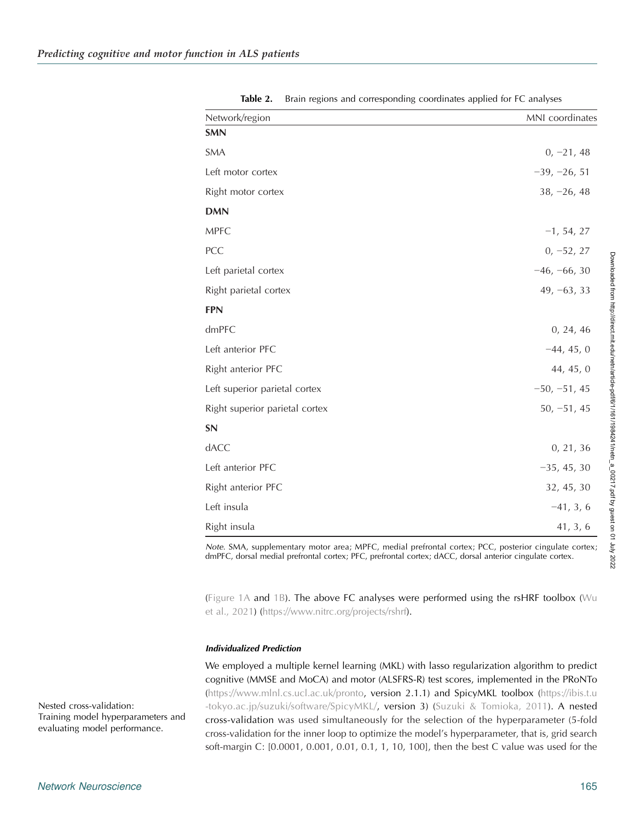<span id="page-4-0"></span>

| Network/region                 | MNI coordinates |  |  |  |
|--------------------------------|-----------------|--|--|--|
| <b>SMN</b>                     |                 |  |  |  |
| <b>SMA</b>                     | $0, -21, 48$    |  |  |  |
| Left motor cortex              | $-39, -26, 51$  |  |  |  |
| Right motor cortex             | $38, -26, 48$   |  |  |  |
| <b>DMN</b>                     |                 |  |  |  |
| <b>MPFC</b>                    | $-1, 54, 27$    |  |  |  |
| PCC                            | $0, -52, 27$    |  |  |  |
| Left parietal cortex           | $-46, -66, 30$  |  |  |  |
| Right parietal cortex          | $49, -63, 33$   |  |  |  |
| <b>FPN</b>                     |                 |  |  |  |
| dmPFC                          | 0, 24, 46       |  |  |  |
| Left anterior PFC              | $-44, 45, 0$    |  |  |  |
| Right anterior PFC             | 44, 45, 0       |  |  |  |
| Left superior parietal cortex  | $-50, -51, 45$  |  |  |  |
| Right superior parietal cortex | $50, -51, 45$   |  |  |  |
| SN                             |                 |  |  |  |
| dACC                           | 0, 21, 36       |  |  |  |
| Left anterior PFC              | $-35, 45, 30$   |  |  |  |
| Right anterior PFC             | 32, 45, 30      |  |  |  |
| Left insula                    | $-41, 3, 6$     |  |  |  |
| Right insula                   | 41, 3, 6        |  |  |  |

Table 2. Brain regions and corresponding coordinates applied for FC analyses

Note. SMA, supplementary motor area; MPFC, medial prefrontal cortex; PCC, posterior cingulate cortex; dmPFC, dorsal medial prefrontal cortex; PFC, prefrontal cortex; dACC, dorsal anterior cingulate cortex.

([Figure 1A](#page-5-0) and [1B](#page-5-0)). The above FC analyses were performed using the rsHRF toolbox ( $Wu$ [et al., 2021\)](#page-13-0) [\(https://www.nitrc.org/projects/rshrf](https://www.nitrc.org/projects/rshrf)).

### Individualized Prediction

We employed a multiple kernel learning (MKL) with lasso regularization algorithm to predict cognitive (MMSE and MoCA) and motor (ALSFRS-R) test scores, implemented in the PRoNTo ([https://www.mlnl.cs.ucl.ac.uk/pronto,](http://www.mlnl.cs.ucl.ac.uk/pronto) version 2.1.1) and SpicyMKL toolbox ([https://ibis.t.u](http://ibis.t.u-tokyo.ac.jp/suzuki/software/SpicyMKL/) [-tokyo.ac.jp/suzuki/software/SpicyMKL/,](http://ibis.t.u-tokyo.ac.jp/suzuki/software/SpicyMKL/) version 3) [\(Suzuki & Tomioka, 2011](#page-13-0)). A nested cross-validation was used simultaneously for the selection of the hyperparameter (5-fold cross-validation for the inner loop to optimize the model's hyperparameter, that is, grid search soft-margin C: [0.0001, 0.001, 0.01, 0.1, 1, 10, 100], then the best C value was used for the

Nested cross-validation: Training model hyperparameters and evaluating model performance.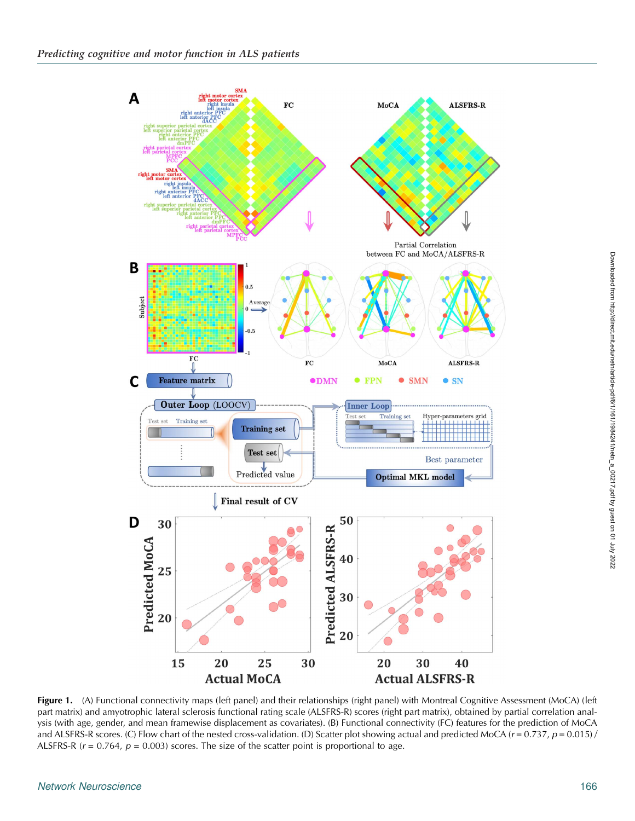<span id="page-5-0"></span>

Figure 1. (A) Functional connectivity maps (left panel) and their relationships (right panel) with Montreal Cognitive Assessment (MoCA) (left part matrix) and amyotrophic lateral sclerosis functional rating scale (ALSFRS-R) scores (right part matrix), obtained by partial correlation analysis (with age, gender, and mean framewise displacement as covariates). (B) Functional connectivity (FC) features for the prediction of MoCA and ALSFRS-R scores. (C) Flow chart of the nested cross-validation. (D) Scatter plot showing actual and predicted MoCA ( $r = 0.737$ ,  $p = 0.015$ ) / ALSFRS-R ( $r = 0.764$ ,  $p = 0.003$ ) scores. The size of the scatter point is proportional to age.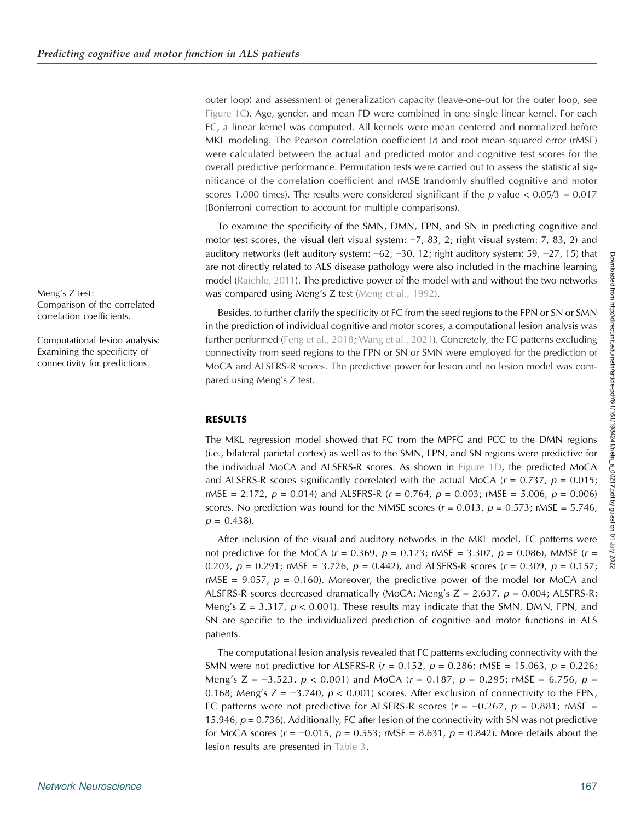outer loop) and assessment of generalization capacity (leave-one-out for the outer loop, see [Figure 1C\)](#page-5-0). Age, gender, and mean FD were combined in one single linear kernel. For each FC, a linear kernel was computed. All kernels were mean centered and normalized before MKL modeling. The Pearson correlation coefficient  $(r)$  and root mean squared error  $(rMSE)$ were calculated between the actual and predicted motor and cognitive test scores for the overall predictive performance. Permutation tests were carried out to assess the statistical significance of the correlation coefficient and rMSE (randomly shuffled cognitive and motor scores 1,000 times). The results were considered significant if the p value  $< 0.05/3 = 0.017$ (Bonferroni correction to account for multiple comparisons).

To examine the specificity of the SMN, DMN, FPN, and SN in predicting cognitive and motor test scores, the visual (left visual system: −7, 83, 2; right visual system: 7, 83, 2) and auditory networks (left auditory system: −62, −30, 12; right auditory system: 59, −27, 15) that are not directly related to ALS disease pathology were also included in the machine learning model ([Raichle, 2011\)](#page-12-0). The predictive power of the model with and without the two networks was compared using Meng's Z test ([Meng et al., 1992](#page-12-0)).

Besides, to further clarify the specificity of FC from the seed regions to the FPN or SN or SMN in the prediction of individual cognitive and motor scores, a computational lesion analysis was further performed ([Feng et al., 2018](#page-11-0); [Wang et al., 2021\)](#page-13-0). Concretely, the FC patterns excluding connectivity from seed regions to the FPN or SN or SMN were employed for the prediction of MoCA and ALSFRS-R scores. The predictive power for lesion and no lesion model was compared using Meng's Z test.

# RESULTS

The MKL regression model showed that FC from the MPFC and PCC to the DMN regions (i.e., bilateral parietal cortex) as well as to the SMN, FPN, and SN regions were predictive for the individual MoCA and ALSFRS-R scores. As shown in [Figure 1D,](#page-5-0) the predicted MoCA and ALSFRS-R scores significantly correlated with the actual MoCA ( $r = 0.737$ ,  $p = 0.015$ ; rMSE = 2.172,  $p = 0.014$ ) and ALSFRS-R ( $r = 0.764$ ,  $p = 0.003$ ; rMSE = 5.006,  $p = 0.006$ ) scores. No prediction was found for the MMSE scores ( $r = 0.013$ ,  $p = 0.573$ ; rMSE = 5.746,  $p = 0.438$ .

After inclusion of the visual and auditory networks in the MKL model, FC patterns were not predictive for the MoCA ( $r = 0.369$ ,  $p = 0.123$ ; rMSE = 3.307,  $p = 0.086$ ), MMSE ( $r =$ 0.203,  $p = 0.291$ ; rMSE = 3.726,  $p = 0.442$ ), and ALSFRS-R scores ( $r = 0.309$ ,  $p = 0.157$ ; rMSE = 9.057,  $p = 0.160$ ). Moreover, the predictive power of the model for MoCA and ALSFRS-R scores decreased dramatically (MoCA: Meng's  $Z = 2.637$ ,  $p = 0.004$ ; ALSFRS-R: Meng's  $Z = 3.317$ ,  $p < 0.001$ ). These results may indicate that the SMN, DMN, FPN, and SN are specific to the individualized prediction of cognitive and motor functions in ALS patients.

The computational lesion analysis revealed that FC patterns excluding connectivity with the SMN were not predictive for ALSFRS-R  $(r = 0.152, p = 0.286; rMSE = 15.063, p = 0.226;$ Meng's Z =  $-3.523$ ,  $p < 0.001$ ) and MoCA ( $r = 0.187$ ,  $p = 0.295$ ; rMSE = 6.756,  $p =$ 0.168; Meng's  $Z = -3.740$ ,  $p < 0.001$ ) scores. After exclusion of connectivity to the FPN, FC patterns were not predictive for ALSFRS-R scores ( $r = -0.267$ ,  $p = 0.881$ ; rMSE = 15.946,  $p = 0.736$ ). Additionally, FC after lesion of the connectivity with SN was not predictive for MoCA scores ( $r = -0.015$ ,  $p = 0.553$ ; rMSE = 8.631,  $p = 0.842$ ). More details about the lesion results are presented in [Table 3.](#page-7-0)

Meng's Z test: Comparison of the correlated correlation coefficients.

Computational lesion analysis: Examining the specificity of connectivity for predictions.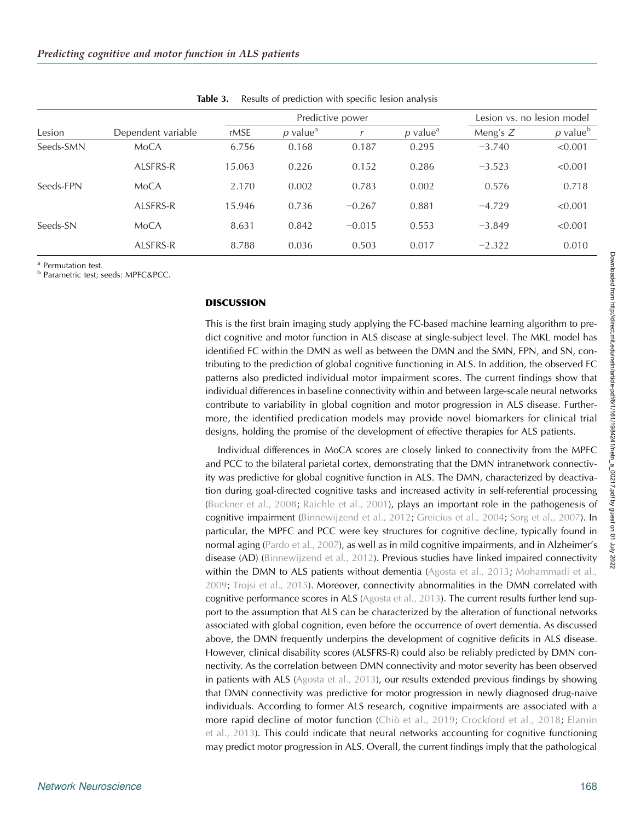<span id="page-7-0"></span>

|           | Dependent variable | Predictive power |                        |          |                        | Lesion vs. no lesion model |                        |
|-----------|--------------------|------------------|------------------------|----------|------------------------|----------------------------|------------------------|
| Lesion    |                    | rMSE             | $p$ value <sup>a</sup> |          | $p$ value <sup>a</sup> | Meng's $Z$                 | $p$ value <sup>b</sup> |
| Seeds-SMN | MoCA               | 6.756            | 0.168                  | 0.187    | 0.295                  | $-3.740$                   | < 0.001                |
|           | ALSFRS-R           | 15.063           | 0.226                  | 0.152    | 0.286                  | $-3.523$                   | < 0.001                |
| Seeds-FPN | MoCA               | 2.170            | 0.002                  | 0.783    | 0.002                  | 0.576                      | 0.718                  |
|           | ALSFRS-R           | 15.946           | 0.736                  | $-0.267$ | 0.881                  | $-4.729$                   | < 0.001                |
| Seeds-SN  | MoCA               | 8.631            | 0.842                  | $-0.015$ | 0.553                  | $-3.849$                   | < 0.001                |
|           | ALSFRS-R           | 8.788            | 0.036                  | 0.503    | 0.017                  | $-2.322$                   | 0.010                  |

Table 3. Results of prediction with specific lesion analysis

<sup>a</sup> Permutation test.<br><sup>b</sup> Parametric test; seeds: MPFC&PCC.

### DISCUSSION

This is the first brain imaging study applying the FC-based machine learning algorithm to predict cognitive and motor function in ALS disease at single-subject level. The MKL model has identified FC within the DMN as well as between the DMN and the SMN, FPN, and SN, contributing to the prediction of global cognitive functioning in ALS. In addition, the observed FC patterns also predicted individual motor impairment scores. The current findings show that individual differences in baseline connectivity within and between large-scale neural networks contribute to variability in global cognition and motor progression in ALS disease. Furthermore, the identified predication models may provide novel biomarkers for clinical trial designs, holding the promise of the development of effective therapies for ALS patients.

Individual differences in MoCA scores are closely linked to connectivity from the MPFC and PCC to the bilateral parietal cortex, demonstrating that the DMN intranetwork connectivity was predictive for global cognitive function in ALS. The DMN, characterized by deactivation during goal-directed cognitive tasks and increased activity in self-referential processing ([Buckner et al., 2008](#page-10-0); [Raichle et al., 2001\)](#page-12-0), plays an important role in the pathogenesis of cognitive impairment [\(Binnewijzend et al., 2012](#page-10-0); [Greicius et al., 2004](#page-11-0); [Sorg et al., 2007\)](#page-13-0). In particular, the MPFC and PCC were key structures for cognitive decline, typically found in normal aging ([Pardo et al., 2007](#page-12-0)), as well as in mild cognitive impairments, and in Alzheimer's disease (AD) ([Binnewijzend et al., 2012](#page-10-0)). Previous studies have linked impaired connectivity within the DMN to ALS patients without dementia ([Agosta et al., 2013](#page-10-0); [Mohammadi et al.,](#page-12-0) [2009;](#page-12-0) [Trojsi et al., 2015](#page-13-0)). Moreover, connectivity abnormalities in the DMN correlated with cognitive performance scores in ALS ([Agosta et al., 2013](#page-10-0)). The current results further lend support to the assumption that ALS can be characterized by the alteration of functional networks associated with global cognition, even before the occurrence of overt dementia. As discussed above, the DMN frequently underpins the development of cognitive deficits in ALS disease. However, clinical disability scores (ALSFRS-R) could also be reliably predicted by DMN connectivity. As the correlation between DMN connectivity and motor severity has been observed in patients with ALS ([Agosta et al., 2013\)](#page-10-0), our results extended previous findings by showing that DMN connectivity was predictive for motor progression in newly diagnosed drug-naive individuals. According to former ALS research, cognitive impairments are associated with a more rapid decline of motor function [\(Chiò et al., 2019;](#page-11-0) [Crockford et al., 2018;](#page-11-0) [Elamin](#page-11-0) [et al., 2013\)](#page-11-0). This could indicate that neural networks accounting for cognitive functioning may predict motor progression in ALS. Overall, the current findings imply that the pathological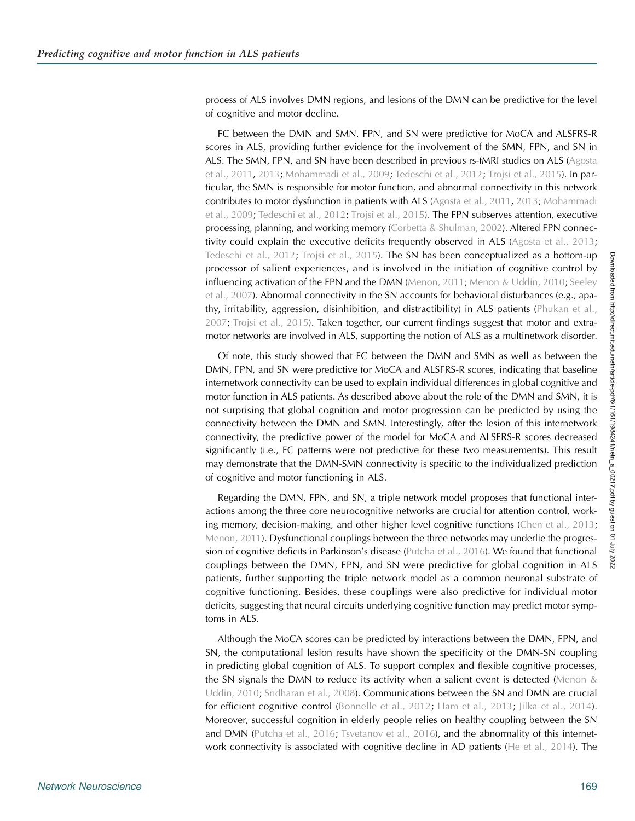process of ALS involves DMN regions, and lesions of the DMN can be predictive for the level of cognitive and motor decline.

FC between the DMN and SMN, FPN, and SN were predictive for MoCA and ALSFRS-R scores in ALS, providing further evidence for the involvement of the SMN, FPN, and SN in ALS. The SMN, FPN, and SN have been described in previous rs-fMRI studies on ALS ([Agosta](#page-10-0) [et al., 2011,](#page-10-0) [2013](#page-10-0); [Mohammadi et al., 2009;](#page-12-0) [Tedeschi et al., 2012;](#page-13-0) [Trojsi et al., 2015\)](#page-13-0). In particular, the SMN is responsible for motor function, and abnormal connectivity in this network contributes to motor dysfunction in patients with ALS ([Agosta et al., 2011](#page-10-0), [2013](#page-10-0); [Mohammadi](#page-12-0) [et al., 2009](#page-12-0); [Tedeschi et al., 2012;](#page-13-0) [Trojsi et al., 2015\)](#page-13-0). The FPN subserves attention, executive processing, planning, and working memory [\(Corbetta & Shulman, 2002](#page-11-0)). Altered FPN connectivity could explain the executive deficits frequently observed in ALS ([Agosta et al., 2013](#page-10-0); [Tedeschi et al., 2012;](#page-13-0) [Trojsi et al., 2015](#page-13-0)). The SN has been conceptualized as a bottom-up processor of salient experiences, and is involved in the initiation of cognitive control by influencing activation of the FPN and the DMN [\(Menon, 2011;](#page-12-0) [Menon & Uddin, 2010;](#page-12-0) [Seeley](#page-12-0) [et al., 2007\)](#page-12-0). Abnormal connectivity in the SN accounts for behavioral disturbances (e.g., apathy, irritability, aggression, disinhibition, and distractibility) in ALS patients ([Phukan et al.,](#page-12-0) [2007;](#page-12-0) [Trojsi et al., 2015\)](#page-13-0). Taken together, our current findings suggest that motor and extramotor networks are involved in ALS, supporting the notion of ALS as a multinetwork disorder.

Of note, this study showed that FC between the DMN and SMN as well as between the DMN, FPN, and SN were predictive for MoCA and ALSFRS-R scores, indicating that baseline internetwork connectivity can be used to explain individual differences in global cognitive and motor function in ALS patients. As described above about the role of the DMN and SMN, it is not surprising that global cognition and motor progression can be predicted by using the connectivity between the DMN and SMN. Interestingly, after the lesion of this internetwork connectivity, the predictive power of the model for MoCA and ALSFRS-R scores decreased significantly (i.e., FC patterns were not predictive for these two measurements). This result may demonstrate that the DMN-SMN connectivity is specific to the individualized prediction of cognitive and motor functioning in ALS.

Regarding the DMN, FPN, and SN, a triple network model proposes that functional interactions among the three core neurocognitive networks are crucial for attention control, work-ing memory, decision-making, and other higher level cognitive functions ([Chen et al., 2013](#page-10-0); [Menon, 2011](#page-12-0)). Dysfunctional couplings between the three networks may underlie the progression of cognitive deficits in Parkinson's disease ([Putcha et al., 2016\)](#page-12-0). We found that functional couplings between the DMN, FPN, and SN were predictive for global cognition in ALS patients, further supporting the triple network model as a common neuronal substrate of cognitive functioning. Besides, these couplings were also predictive for individual motor deficits, suggesting that neural circuits underlying cognitive function may predict motor symptoms in ALS.

Although the MoCA scores can be predicted by interactions between the DMN, FPN, and SN, the computational lesion results have shown the specificity of the DMN-SN coupling in predicting global cognition of ALS. To support complex and flexible cognitive processes, the SN signals the DMN to reduce its activity when a salient event is detected (Menon  $\&$ [Uddin, 2010;](#page-12-0) [Sridharan et al., 2008\)](#page-13-0). Communications between the SN and DMN are crucial for efficient cognitive control ([Bonnelle et al., 2012;](#page-10-0) [Ham et al., 2013](#page-11-0); [Jilka et al., 2014\)](#page-12-0). Moreover, successful cognition in elderly people relies on healthy coupling between the SN and DMN [\(Putcha et al., 2016](#page-12-0); [Tsvetanov et al., 2016\)](#page-13-0), and the abnormality of this internetwork connectivity is associated with cognitive decline in AD patients [\(He et al., 2014](#page-11-0)). The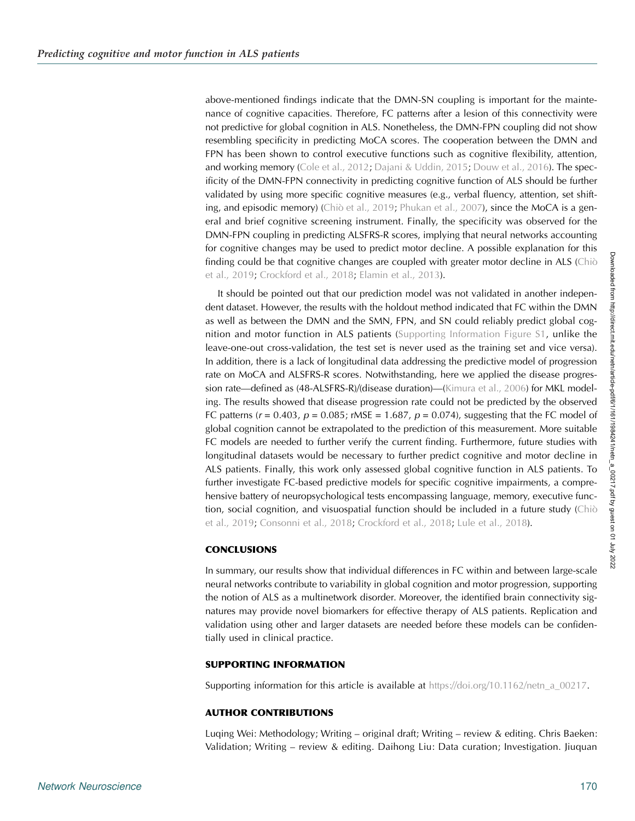above-mentioned findings indicate that the DMN-SN coupling is important for the maintenance of cognitive capacities. Therefore, FC patterns after a lesion of this connectivity were not predictive for global cognition in ALS. Nonetheless, the DMN-FPN coupling did not show resembling specificity in predicting MoCA scores. The cooperation between the DMN and FPN has been shown to control executive functions such as cognitive flexibility, attention, and working memory [\(Cole et al., 2012](#page-11-0); [Dajani & Uddin, 2015](#page-11-0); [Douw et al., 2016](#page-11-0)). The specificity of the DMN-FPN connectivity in predicting cognitive function of ALS should be further validated by using more specific cognitive measures (e.g., verbal fluency, attention, set shifting, and episodic memory) [\(Chiò et al., 2019](#page-11-0); [Phukan et al., 2007](#page-12-0)), since the MoCA is a general and brief cognitive screening instrument. Finally, the specificity was observed for the DMN-FPN coupling in predicting ALSFRS-R scores, implying that neural networks accounting for cognitive changes may be used to predict motor decline. A possible explanation for this finding could be that cognitive changes are coupled with greater motor decline in ALS [\(Chiò](#page-11-0) [et al., 2019;](#page-11-0) [Crockford et al., 2018;](#page-11-0) [Elamin et al., 2013](#page-11-0)).

It should be pointed out that our prediction model was not validated in another independent dataset. However, the results with the holdout method indicated that FC within the DMN as well as between the DMN and the SMN, FPN, and SN could reliably predict global cognition and motor function in ALS patients (Supporting Information Figure S1, unlike the leave-one-out cross-validation, the test set is never used as the training set and vice versa). In addition, there is a lack of longitudinal data addressing the predictive model of progression rate on MoCA and ALSFRS-R scores. Notwithstanding, here we applied the disease progression rate—defined as (48-ALSFRS-R)/(disease duration)—([Kimura et al., 2006](#page-12-0)) for MKL modeling. The results showed that disease progression rate could not be predicted by the observed FC patterns ( $r = 0.403$ ,  $p = 0.085$ ; rMSE = 1.687,  $p = 0.074$ ), suggesting that the FC model of global cognition cannot be extrapolated to the prediction of this measurement. More suitable FC models are needed to further verify the current finding. Furthermore, future studies with longitudinal datasets would be necessary to further predict cognitive and motor decline in ALS patients. Finally, this work only assessed global cognitive function in ALS patients. To further investigate FC-based predictive models for specific cognitive impairments, a comprehensive battery of neuropsychological tests encompassing language, memory, executive function, social cognition, and visuospatial function should be included in a future study ([Chiò](#page-11-0) [et al., 2019;](#page-11-0) [Consonni et al., 2018](#page-11-0); [Crockford et al., 2018](#page-11-0); [Lule et al., 2018\)](#page-12-0).

# **CONCLUSIONS**

In summary, our results show that individual differences in FC within and between large-scale neural networks contribute to variability in global cognition and motor progression, supporting the notion of ALS as a multinetwork disorder. Moreover, the identified brain connectivity signatures may provide novel biomarkers for effective therapy of ALS patients. Replication and validation using other and larger datasets are needed before these models can be confidentially used in clinical practice.

# SUPPORTING INFORMATION

Supporting information for this article is available at [https://doi.org/10.1162/netn\\_a\\_00217](https://doi.org/10.1162/netn_a_00217).

# AUTHOR CONTRIBUTIONS

Luqing Wei: Methodology; Writing – original draft; Writing – review & editing. Chris Baeken: Validation; Writing – review & editing. Daihong Liu: Data curation; Investigation. Jiuquan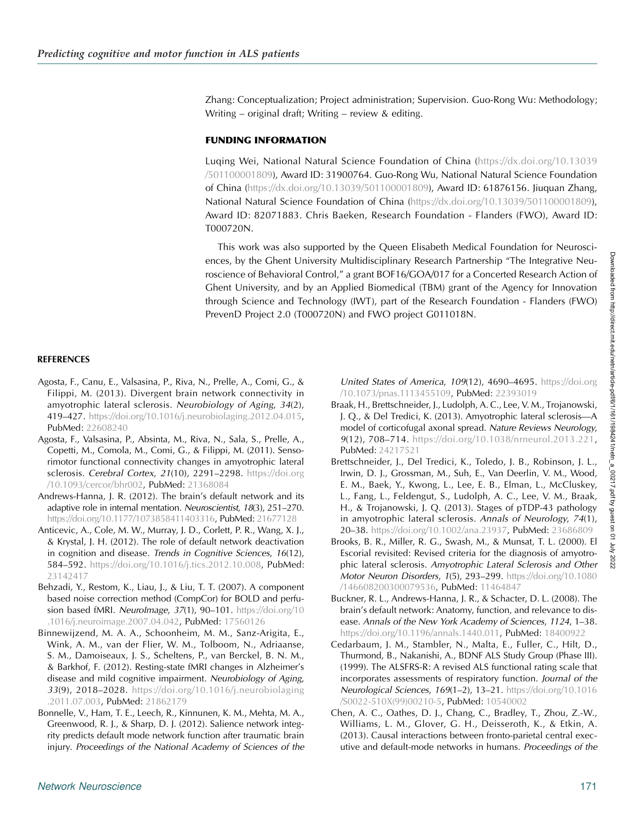<span id="page-10-0"></span>Zhang: Conceptualization; Project administration; Supervision. Guo-Rong Wu: Methodology; Writing – original draft; Writing – review & editing.

# FUNDING INFORMATION

Luqing Wei, National Natural Science Foundation of China ([https://dx.doi.org/10.13039](http://dx.doi.org/10.13039/501100001809) [/501100001809\)](http://dx.doi.org/10.13039/501100001809), Award ID: 31900764. Guo-Rong Wu, National Natural Science Foundation of China ([https://dx.doi.org/10.13039/501100001809](http://dx.doi.org/10.13039/501100001809)), Award ID: 61876156. Jiuquan Zhang, National Natural Science Foundation of China ([https://dx.doi.org/10.13039/501100001809\)](http://dx.doi.org/10.13039/501100001809), Award ID: 82071883. Chris Baeken, Research Foundation - Flanders (FWO), Award ID: T000720N.

This work was also supported by the Queen Elisabeth Medical Foundation for Neurosciences, by the Ghent University Multidisciplinary Research Partnership "The Integrative Neuroscience of Behavioral Control," a grant BOF16/GOA/017 for a Concerted Research Action of Ghent University, and by an Applied Biomedical (TBM) grant of the Agency for Innovation through Science and Technology (IWT), part of the Research Foundation - Flanders (FWO) PrevenD Project 2.0 (T000720N) and FWO project G011018N.

# **REFERENCES**

- Agosta, F., Canu, E., Valsasina, P., Riva, N., Prelle, A., Comi, G., & Filippi, M. (2013). Divergent brain network connectivity in amyotrophic lateral sclerosis. Neurobiology of Aging, 34(2), 419–427. [https://doi.org/10.1016/j.neurobiolaging.2012.04.015,](https://doi.org/10.1016/j.neurobiolaging.2012.04.015) PubMed: [22608240](https://pubmed.ncbi.nlm.nih.gov/22608240)
- Agosta, F., Valsasina, P., Absinta, M., Riva, N., Sala, S., Prelle, A., Copetti, M., Comola, M., Comi, G., & Filippi, M. (2011). Sensorimotor functional connectivity changes in amyotrophic lateral sclerosis. Cerebral Cortex, 21(10), 2291-2298. [https://doi.org](https://doi.org/10.1093/cercor/bhr002) [/10.1093/cercor/bhr002,](https://doi.org/10.1093/cercor/bhr002) PubMed: [21368084](https://pubmed.ncbi.nlm.nih.gov/21368084)
- Andrews-Hanna, J. R. (2012). The brain's default network and its adaptive role in internal mentation. Neuroscientist, 18(3), 251–270. <https://doi.org/10.1177/1073858411403316>, PubMed: [21677128](https://pubmed.ncbi.nlm.nih.gov/21677128)
- Anticevic, A., Cole, M. W., Murray, J. D., Corlett, P. R., Wang, X. J., & Krystal, J. H. (2012). The role of default network deactivation in cognition and disease. Trends in Cognitive Sciences, 16(12), 584–592. [https://doi.org/10.1016/j.tics.2012.10.008,](https://doi.org/10.1016/j.tics.2012.10.008) PubMed: [23142417](https://pubmed.ncbi.nlm.nih.gov/23142417)
- Behzadi, Y., Restom, K., Liau, J., & Liu, T. T. (2007). A component based noise correction method (CompCor) for BOLD and perfusion based fMRI. NeuroImage, 37(1), 90-101. [https://doi.org/10](https://doi.org/10.1016/j.neuroimage.2007.04.042) [.1016/j.neuroimage.2007.04.042,](https://doi.org/10.1016/j.neuroimage.2007.04.042) PubMed: [17560126](https://pubmed.ncbi.nlm.nih.gov/17560126)
- Binnewijzend, M. A. A., Schoonheim, M. M., Sanz-Arigita, E., Wink, A. M., van der Flier, W. M., Tolboom, N., Adriaanse, S. M., Damoiseaux, J. S., Scheltens, P., van Berckel, B. N. M., & Barkhof, F. (2012). Resting-state fMRI changes in Alzheimer's disease and mild cognitive impairment. Neurobiology of Aging, 33(9), 2018–2028. [https://doi.org/10.1016/j.neurobiolaging](https://doi.org/10.1016/j.neurobiolaging.2011.07.003) [.2011.07.003](https://doi.org/10.1016/j.neurobiolaging.2011.07.003), PubMed: [21862179](https://pubmed.ncbi.nlm.nih.gov/21862179)
- Bonnelle, V., Ham, T. E., Leech, R., Kinnunen, K. M., Mehta, M. A., Greenwood, R. J., & Sharp, D. J. (2012). Salience network integrity predicts default mode network function after traumatic brain injury. Proceedings of the National Academy of Sciences of the

United States of America, 109(12), 4690–4695. [https://doi.org](https://doi.org/10.1073/pnas.1113455109) [/10.1073/pnas.1113455109,](https://doi.org/10.1073/pnas.1113455109) PubMed: [22393019](https://pubmed.ncbi.nlm.nih.gov/22393019)

- Braak, H., Brettschneider, J., Ludolph, A. C., Lee, V. M., Trojanowski, J. Q., & Del Tredici, K. (2013). Amyotrophic lateral sclerosis—A model of corticofugal axonal spread. Nature Reviews Neurology, 9(12), 708–714. [https://doi.org/10.1038/nrneurol.2013.221,](https://doi.org/10.1038/nrneurol.2013.221) PubMed: [24217521](https://pubmed.ncbi.nlm.nih.gov/24217521)
- Brettschneider, J., Del Tredici, K., Toledo, J. B., Robinson, J. L., Irwin, D. J., Grossman, M., Suh, E., Van Deerlin, V. M., Wood, E. M., Baek, Y., Kwong, L., Lee, E. B., Elman, L., McCluskey, L., Fang, L., Feldengut, S., Ludolph, A. C., Lee, V. M., Braak, H., & Trojanowski, J. Q. (2013). Stages of pTDP-43 pathology in amyotrophic lateral sclerosis. Annals of Neurology, 74(1), 20–38. <https://doi.org/10.1002/ana.23937>, PubMed: [23686809](https://pubmed.ncbi.nlm.nih.gov/23686809)
- Brooks, B. R., Miller, R. G., Swash, M., & Munsat, T. L. (2000). El Escorial revisited: Revised criteria for the diagnosis of amyotrophic lateral sclerosis. Amyotrophic Lateral Sclerosis and Other Motor Neuron Disorders, 1(5), 293–299. [https://doi.org/10.1080](https://doi.org/10.1080/146608200300079536) [/146608200300079536](https://doi.org/10.1080/146608200300079536), PubMed: [11464847](https://pubmed.ncbi.nlm.nih.gov/11464847)
- Buckner, R. L., Andrews-Hanna, J. R., & Schacter, D. L. (2008). The brain's default network: Anatomy, function, and relevance to disease. Annals of the New York Academy of Sciences, 1124, 1–38. <https://doi.org/10.1196/annals.1440.011>, PubMed: [18400922](https://pubmed.ncbi.nlm.nih.gov/18400922)
- Cedarbaum, J. M., Stambler, N., Malta, E., Fuller, C., Hilt, D., Thurmond, B., Nakanishi, A., BDNF ALS Study Group (Phase III). (1999). The ALSFRS-R: A revised ALS functional rating scale that incorporates assessments of respiratory function. Journal of the Neurological Sciences, 169(1–2), 13–21. [https://doi.org/10.1016](https://doi.org/10.1016/S0022-510X(99)00210-5) [/S0022-510X\(99\)00210-5](https://doi.org/10.1016/S0022-510X(99)00210-5), PubMed: [10540002](https://pubmed.ncbi.nlm.nih.gov/10540002)
- Chen, A. C., Oathes, D. J., Chang, C., Bradley, T., Zhou, Z.-W., Williams, L. M., Glover, G. H., Deisseroth, K., & Etkin, A. (2013). Causal interactions between fronto-parietal central executive and default-mode networks in humans. Proceedings of the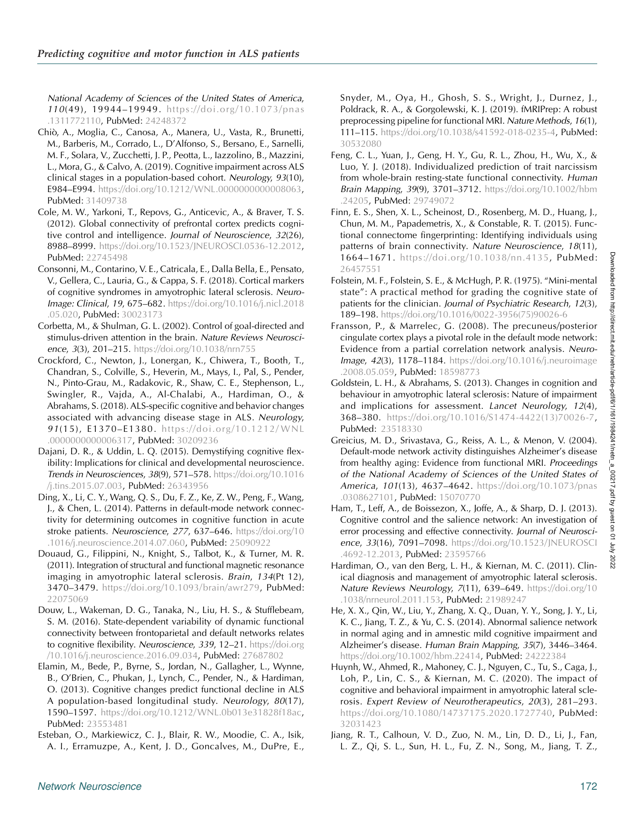<span id="page-11-0"></span>National Academy of Sciences of the United States of America, 110(49), 19944–19949. [https://doi.org/10.1073/pnas](https://doi.org/10.1073/pnas.1311772110) [.1311772110](https://doi.org/10.1073/pnas.1311772110), PubMed: [24248372](https://pubmed.ncbi.nlm.nih.gov/24248372)

- Chiò, A., Moglia, C., Canosa, A., Manera, U., Vasta, R., Brunetti, M., Barberis, M., Corrado, L., D'Alfonso, S., Bersano, E., Sarnelli, M. F., Solara, V., Zucchetti, J. P., Peotta, L., Iazzolino, B., Mazzini, L., Mora, G., & Calvo, A. (2019). Cognitive impairment across ALS clinical stages in a population-based cohort. Neurology, 93(10), E984–E994. [https://doi.org/10.1212/WNL.0000000000008063,](https://doi.org/10.1212/WNL.0000000000008063) PubMed: [31409738](https://pubmed.ncbi.nlm.nih.gov/31409738)
- Cole, M. W., Yarkoni, T., Repovs, G., Anticevic, A., & Braver, T. S. (2012). Global connectivity of prefrontal cortex predicts cognitive control and intelligence. Journal of Neuroscience, 32(26), 8988–8999. [https://doi.org/10.1523/JNEUROSCI.0536-12.2012,](https://doi.org/10.1523/JNEUROSCI.0536-12.2012) PubMed: [22745498](https://pubmed.ncbi.nlm.nih.gov/22745498)
- Consonni, M., Contarino, V. E., Catricala, E., Dalla Bella, E., Pensato, V., Gellera, C., Lauria, G., & Cappa, S. F. (2018). Cortical markers of cognitive syndromes in amyotrophic lateral sclerosis. Neuro-Image: Clinical, 19, 675–682. [https://doi.org/10.1016/j.nicl.2018](https://doi.org/10.1016/j.nicl.2018.05.020) [.05.020](https://doi.org/10.1016/j.nicl.2018.05.020), PubMed: [30023173](https://pubmed.ncbi.nlm.nih.gov/30023173)
- Corbetta, M., & Shulman, G. L. (2002). Control of goal-directed and stimulus-driven attention in the brain. Nature Reviews Neuroscience, 3(3), 201–215. <https://doi.org/10.1038/nrn755>
- Crockford, C., Newton, J., Lonergan, K., Chiwera, T., Booth, T., Chandran, S., Colville, S., Heverin, M., Mays, I., Pal, S., Pender, N., Pinto-Grau, M., Radakovic, R., Shaw, C. E., Stephenson, L., Swingler, R., Vajda, A., Al-Chalabi, A., Hardiman, O., & Abrahams, S. (2018). ALS-specific cognitive and behavior changes associated with advancing disease stage in ALS. Neurology, 9 1(15), E1370–E1380. [https://doi.org/10.1212/WNL](https://doi.org/10.1212/WNL.0000000000006317) [.0000000000006317,](https://doi.org/10.1212/WNL.0000000000006317) PubMed: [30209236](https://pubmed.ncbi.nlm.nih.gov/30209236)
- Dajani, D. R., & Uddin, L. Q. (2015). Demystifying cognitive flexibility: Implications for clinical and developmental neuroscience. Trends in Neurosciences, 38(9), 571–578. [https://doi.org/10.1016](https://doi.org/10.1016/j.tins.2015.07.003) [/j.tins.2015.07.003](https://doi.org/10.1016/j.tins.2015.07.003), PubMed: [26343956](https://pubmed.ncbi.nlm.nih.gov/26343956)
- Ding, X., Li, C. Y., Wang, Q. S., Du, F. Z., Ke, Z. W., Peng, F., Wang, J., & Chen, L. (2014). Patterns in default-mode network connectivity for determining outcomes in cognitive function in acute stroke patients. Neuroscience, 277, 637-646. [https://doi.org/10](https://doi.org/10.1016/j.neuroscience.2014.07.060) [.1016/j.neuroscience.2014.07.060](https://doi.org/10.1016/j.neuroscience.2014.07.060), PubMed: [25090922](https://pubmed.ncbi.nlm.nih.gov/25090922)
- Douaud, G., Filippini, N., Knight, S., Talbot, K., & Turner, M. R. (2011). Integration of structural and functional magnetic resonance imaging in amyotrophic lateral sclerosis. Brain, 134(Pt 12), 3470–3479. [https://doi.org/10.1093/brain/awr279,](https://doi.org/10.1093/brain/awr279) PubMed: [22075069](https://pubmed.ncbi.nlm.nih.gov/22075069)
- Douw, L., Wakeman, D. G., Tanaka, N., Liu, H. S., & Stufflebeam, S. M. (2016). State-dependent variability of dynamic functional connectivity between frontoparietal and default networks relates to cognitive flexibility. Neuroscience, 339, 12-21. [https://doi.org](https://doi.org/10.1016/j.neuroscience.2016.09.034) [/10.1016/j.neuroscience.2016.09.034,](https://doi.org/10.1016/j.neuroscience.2016.09.034) PubMed: [27687802](https://pubmed.ncbi.nlm.nih.gov/27687802)
- Elamin, M., Bede, P., Byrne, S., Jordan, N., Gallagher, L., Wynne, B., O'Brien, C., Phukan, J., Lynch, C., Pender, N., & Hardiman, O. (2013). Cognitive changes predict functional decline in ALS A population-based longitudinal study. Neurology, 80(17), 1590–1597. [https://doi.org/10.1212/WNL.0b013e31828f18ac,](https://doi.org/10.1212/WNL.0b013e31828f18ac) PubMed: [23553481](https://pubmed.ncbi.nlm.nih.gov/23553481)
- Esteban, O., Markiewicz, C. J., Blair, R. W., Moodie, C. A., Isik, A. I., Erramuzpe, A., Kent, J. D., Goncalves, M., DuPre, E.,

Snyder, M., Oya, H., Ghosh, S. S., Wright, J., Durnez, J., Poldrack, R. A., & Gorgolewski, K. J. (2019). fMRIPrep: A robust preprocessing pipeline for functional MRI. Nature Methods, 16(1), 111–115. [https://doi.org/10.1038/s41592-018-0235-4,](https://doi.org/10.1038/s41592-018-0235-4) PubMed: [30532080](https://pubmed.ncbi.nlm.nih.gov/30532080)

- Feng, C. L., Yuan, J., Geng, H. Y., Gu, R. L., Zhou, H., Wu, X., & Luo, Y. J. (2018). Individualized prediction of trait narcissism from whole-brain resting-state functional connectivity. Human Brain Mapping, 39(9), 3701–3712. [https://doi.org/10.1002/hbm](https://doi.org/10.1002/hbm.24205) [.24205,](https://doi.org/10.1002/hbm.24205) PubMed: [29749072](https://pubmed.ncbi.nlm.nih.gov/29749072)
- Finn, E. S., Shen, X. L., Scheinost, D., Rosenberg, M. D., Huang, J., Chun, M. M., Papademetris, X., & Constable, R. T. (2015). Functional connectome fingerprinting: Identifying individuals using patterns of brain connectivity. Nature Neuroscience, 18(11), 1664–1671. [https://doi.org/10.1038/nn.4135,](https://doi.org/10.1038/nn.4135) PubMed: [26457551](https://pubmed.ncbi.nlm.nih.gov/26457551)
- Folstein, M. F., Folstein, S. E., & McHugh, P. R. (1975). "Mini-mental state": A practical method for grading the cognitive state of patients for the clinician. Journal of Psychiatric Research, 12(3), 189–198. [https://doi.org/10.1016/0022-3956\(75\)90026-6](https://doi.org/10.1016/0022-3956(75)90026-6)
- Fransson, P., & Marrelec, G. (2008). The precuneus/posterior cingulate cortex plays a pivotal role in the default mode network: Evidence from a partial correlation network analysis. Neuro-**Image, 42(3), 1178–1184.** [https://doi.org/10.1016/j.neuroimage](https://doi.org/10.1016/j.neuroimage.2008.05.059) [.2008.05.059](https://doi.org/10.1016/j.neuroimage.2008.05.059), PubMed: [18598773](https://pubmed.ncbi.nlm.nih.gov/18598773)
- Goldstein, L. H., & Abrahams, S. (2013). Changes in cognition and behaviour in amyotrophic lateral sclerosis: Nature of impairment and implications for assessment. Lancet Neurology, 12(4), 368–380. [https://doi.org/10.1016/S1474-4422\(13\)70026-7,](https://doi.org/10.1016/S1474-4422(13)70026-7) PubMed: [23518330](https://pubmed.ncbi.nlm.nih.gov/23518330)
- Greicius, M. D., Srivastava, G., Reiss, A. L., & Menon, V. (2004). Default-mode network activity distinguishes Alzheimer's disease from healthy aging: Evidence from functional MRI. Proceedings of the National Academy of Sciences of the United States of America, 101(13), 4637-4642. [https://doi.org/10.1073/pnas](https://doi.org/10.1073/pnas.0308627101) [.0308627101](https://doi.org/10.1073/pnas.0308627101), PubMed: [15070770](https://pubmed.ncbi.nlm.nih.gov/15070770)
- Ham, T., Leff, A., de Boissezon, X., Joffe, A., & Sharp, D. J. (2013). Cognitive control and the salience network: An investigation of error processing and effective connectivity. Journal of Neuroscience, 33(16), 7091–7098. [https://doi.org/10.1523/JNEUROSCI](https://doi.org/10.1523/JNEUROSCI.4692-12.2013) [.4692-12.2013,](https://doi.org/10.1523/JNEUROSCI.4692-12.2013) PubMed: [23595766](https://pubmed.ncbi.nlm.nih.gov/23595766)
- Hardiman, O., van den Berg, L. H., & Kiernan, M. C. (2011). Clinical diagnosis and management of amyotrophic lateral sclerosis. Nature Reviews Neurology, 7(11), 639–649. [https://doi.org/10](https://doi.org/10.1038/nrneurol.2011.153) [.1038/nrneurol.2011.153](https://doi.org/10.1038/nrneurol.2011.153), PubMed: [21989247](https://pubmed.ncbi.nlm.nih.gov/21989247)
- He, X. X., Qin, W., Liu, Y., Zhang, X. Q., Duan, Y. Y., Song, J. Y., Li, K. C., Jiang, T. Z., & Yu, C. S. (2014). Abnormal salience network in normal aging and in amnestic mild cognitive impairment and Alzheimer's disease. Human Brain Mapping, 35(7), 3446–3464. <https://doi.org/10.1002/hbm.22414>, PubMed: [24222384](https://pubmed.ncbi.nlm.nih.gov/24222384)
- Huynh, W., Ahmed, R., Mahoney, C. J., Nguyen, C., Tu, S., Caga, J., Loh, P., Lin, C. S., & Kiernan, M. C. (2020). The impact of cognitive and behavioral impairment in amyotrophic lateral sclerosis. Expert Review of Neurotherapeutics, 20(3), 281–293. [https://doi.org/10.1080/14737175.2020.1727740,](https://doi.org/10.1080/14737175.2020.1727740) PubMed: [32031423](https://pubmed.ncbi.nlm.nih.gov/32031423)
- Jiang, R. T., Calhoun, V. D., Zuo, N. M., Lin, D. D., Li, J., Fan, L. Z., Qi, S. L., Sun, H. L., Fu, Z. N., Song, M., Jiang, T. Z.,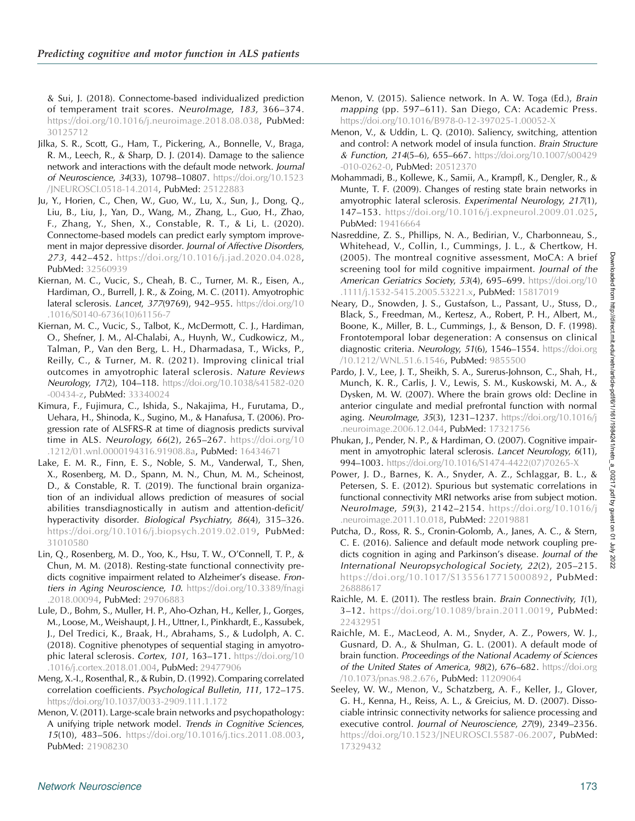<span id="page-12-0"></span>& Sui, J. (2018). Connectome-based individualized prediction of temperament trait scores. NeuroImage, 183, 366–374. <https://doi.org/10.1016/j.neuroimage.2018.08.038>, PubMed: [30125712](https://pubmed.ncbi.nlm.nih.gov/30125712)

- Jilka, S. R., Scott, G., Ham, T., Pickering, A., Bonnelle, V., Braga, R. M., Leech, R., & Sharp, D. J. (2014). Damage to the salience network and interactions with the default mode network. Journal of Neuroscience, 34(33), 10798–10807. [https://doi.org/10.1523](https://doi.org/10.1523/JNEUROSCI.0518-14.2014) [/JNEUROSCI.0518-14.2014,](https://doi.org/10.1523/JNEUROSCI.0518-14.2014) PubMed: [25122883](https://pubmed.ncbi.nlm.nih.gov/25122883)
- Ju, Y., Horien, C., Chen, W., Guo, W., Lu, X., Sun, J., Dong, Q., Liu, B., Liu, J., Yan, D., Wang, M., Zhang, L., Guo, H., Zhao, F., Zhang, Y., Shen, X., Constable, R. T., & Li, L. (2020). Connectome-based models can predict early symptom improvement in major depressive disorder. Journal of Affective Disorders, 273, 442–452. [https://doi.org/10.1016/j.jad.2020.04.028,](https://doi.org/10.1016/j.jad.2020.04.028) PubMed: [32560939](https://pubmed.ncbi.nlm.nih.gov/32560939)
- Kiernan, M. C., Vucic, S., Cheah, B. C., Turner, M. R., Eisen, A., Hardiman, O., Burrell, J. R., & Zoing, M. C. (2011). Amyotrophic lateral sclerosis. Lancet, 377(9769), 942–955. [https://doi.org/10](https://doi.org/10.1016/S0140-6736(10)61156-7) [.1016/S0140-6736\(10\)61156-7](https://doi.org/10.1016/S0140-6736(10)61156-7)
- Kiernan, M. C., Vucic, S., Talbot, K., McDermott, C. J., Hardiman, O., Shefner, J. M., Al-Chalabi, A., Huynh, W., Cudkowicz, M., Talman, P., Van den Berg, L. H., Dharmadasa, T., Wicks, P., Reilly, C., & Turner, M. R. (2021). Improving clinical trial outcomes in amyotrophic lateral sclerosis. Nature Reviews Neurology, 17(2), 104–118. [https://doi.org/10.1038/s41582-020](https://doi.org/10.1038/s41582-020-00434-z) [-00434-z,](https://doi.org/10.1038/s41582-020-00434-z) PubMed: [33340024](https://pubmed.ncbi.nlm.nih.gov/33340024)
- Kimura, F., Fujimura, C., Ishida, S., Nakajima, H., Furutama, D., Uehara, H., Shinoda, K., Sugino, M., & Hanafusa, T. (2006). Progression rate of ALSFRS-R at time of diagnosis predicts survival time in ALS. Neurology, 66(2), 265–267. [https://doi.org/10](https://doi.org/10.1212/01.wnl.0000194316.91908.8a) [.1212/01.wnl.0000194316.91908.8a](https://doi.org/10.1212/01.wnl.0000194316.91908.8a), PubMed: [16434671](https://pubmed.ncbi.nlm.nih.gov/16434671)
- Lake, E. M. R., Finn, E. S., Noble, S. M., Vanderwal, T., Shen, X., Rosenberg, M. D., Spann, M. N., Chun, M. M., Scheinost, D., & Constable, R. T. (2019). The functional brain organization of an individual allows prediction of measures of social abilities transdiagnostically in autism and attention-deficit/ hyperactivity disorder. Biological Psychiatry, 86(4), 315–326. [https://doi.org/10.1016/j.biopsych.2019.02.019,](https://doi.org/10.1016/j.biopsych.2019.02.019) PubMed: [31010580](https://pubmed.ncbi.nlm.nih.gov/31010580)
- Lin, Q., Rosenberg, M. D., Yoo, K., Hsu, T. W., O'Connell, T. P., & Chun, M. M. (2018). Resting-state functional connectivity predicts cognitive impairment related to Alzheimer's disease. Frontiers in Aging Neuroscience, 10. [https://doi.org/10.3389/fnagi](https://doi.org/10.3389/fnagi.2018.00094) [.2018.00094](https://doi.org/10.3389/fnagi.2018.00094), PubMed: [29706883](https://pubmed.ncbi.nlm.nih.gov/29706883)
- Lule, D., Bohm, S., Muller, H. P., Aho-Ozhan, H., Keller, J., Gorges, M., Loose, M., Weishaupt, J. H., Uttner, I., Pinkhardt, E., Kassubek, J., Del Tredici, K., Braak, H., Abrahams, S., & Ludolph, A. C. (2018). Cognitive phenotypes of sequential staging in amyotrophic lateral sclerosis. Cortex, 101, 163–171. [https://doi.org/10](https://doi.org/10.1016/j.cortex.2018.01.004) [.1016/j.cortex.2018.01.004](https://doi.org/10.1016/j.cortex.2018.01.004), PubMed: [29477906](https://pubmed.ncbi.nlm.nih.gov/29477906)
- Meng, X.-I., Rosenthal, R., & Rubin, D. (1992). Comparing correlated correlation coefficients. Psychological Bulletin, 111, 172–175. <https://doi.org/10.1037/0033-2909.111.1.172>
- Menon, V. (2011). Large-scale brain networks and psychopathology: A unifying triple network model. Trends in Cognitive Sciences, 15(10), 483–506. [https://doi.org/10.1016/j.tics.2011.08.003,](https://doi.org/10.1016/j.tics.2011.08.003) PubMed: [21908230](https://pubmed.ncbi.nlm.nih.gov/21908230)
- Menon, V. (2015). Salience network. In A. W. Toga (Ed.), Brain mapping (pp. 597–611). San Diego, CA: Academic Press. <https://doi.org/10.1016/B978-0-12-397025-1.00052-X>
- Menon, V., & Uddin, L. Q. (2010). Saliency, switching, attention and control: A network model of insula function. Brain Structure & Function, 214(5–6), 655–667. [https://doi.org/10.1007/s00429](https://doi.org/10.1007/s00429-010-0262-0) [-010-0262-0,](https://doi.org/10.1007/s00429-010-0262-0) PubMed: [20512370](https://pubmed.ncbi.nlm.nih.gov/20512370)
- Mohammadi, B., Kollewe, K., Samii, A., Krampfl, K., Dengler, R., & Munte, T. F. (2009). Changes of resting state brain networks in amyotrophic lateral sclerosis. Experimental Neurology, 217(1), 147–153. [https://doi.org/10.1016/j.expneurol.2009.01.025,](https://doi.org/10.1016/j.expneurol.2009.01.025) PubMed: [19416664](https://pubmed.ncbi.nlm.nih.gov/19416664)
- Nasreddine, Z. S., Phillips, N. A., Bedirian, V., Charbonneau, S., Whitehead, V., Collin, I., Cummings, J. L., & Chertkow, H. (2005). The montreal cognitive assessment, MoCA: A brief screening tool for mild cognitive impairment. Journal of the American Geriatrics Society, 53(4), 695–699. [https://doi.org/10](https://doi.org/10.1111/j.1532-5415.2005.53221.x) [.1111/j.1532-5415.2005.53221.x](https://doi.org/10.1111/j.1532-5415.2005.53221.x), PubMed: [15817019](https://pubmed.ncbi.nlm.nih.gov/15817019)
- Neary, D., Snowden, J. S., Gustafson, L., Passant, U., Stuss, D., Black, S., Freedman, M., Kertesz, A., Robert, P. H., Albert, M., Boone, K., Miller, B. L., Cummings, J., & Benson, D. F. (1998). Frontotemporal lobar degeneration: A consensus on clinical diagnostic criteria. Neurology, 51(6), 1546–1554. [https://doi.org](https://doi.org/10.1212/WNL.51.6.1546) [/10.1212/WNL.51.6.1546](https://doi.org/10.1212/WNL.51.6.1546), PubMed: [9855500](https://pubmed.ncbi.nlm.nih.gov/9855500)
- Pardo, J. V., Lee, J. T., Sheikh, S. A., Surerus-Johnson, C., Shah, H., Munch, K. R., Carlis, J. V., Lewis, S. M., Kuskowski, M. A., & Dysken, M. W. (2007). Where the brain grows old: Decline in anterior cingulate and medial prefrontal function with normal aging. Neurolmage, 35(3), 1231–1237. [https://doi.org/10.1016/j](https://doi.org/10.1016/j.neuroimage.2006.12.044) [.neuroimage.2006.12.044](https://doi.org/10.1016/j.neuroimage.2006.12.044), PubMed: [17321756](https://pubmed.ncbi.nlm.nih.gov/17321756)
- Phukan, J., Pender, N. P., & Hardiman, O. (2007). Cognitive impairment in amyotrophic lateral sclerosis. Lancet Neurology, 6(11), 994–1003. [https://doi.org/10.1016/S1474-4422\(07\)70265-X](https://doi.org/10.1016/S1474-4422(07)70265-X)
- Power, J. D., Barnes, K. A., Snyder, A. Z., Schlaggar, B. L., & Petersen, S. E. (2012). Spurious but systematic correlations in functional connectivity MRI networks arise from subject motion. NeuroImage, 59(3), 2142–2154. [https://doi.org/10.1016/j](https://doi.org/10.1016/j.neuroimage.2011.10.018) [.neuroimage.2011.10.018](https://doi.org/10.1016/j.neuroimage.2011.10.018), PubMed: [22019881](https://pubmed.ncbi.nlm.nih.gov/22019881)
- Putcha, D., Ross, R. S., Cronin-Golomb, A., Janes, A. C., & Stern, C. E. (2016). Salience and default mode network coupling predicts cognition in aging and Parkinson's disease. Journal of the International Neuropsychological Society, 22(2), 205–215. <https://doi.org/10.1017/S1355617715000892>, PubMed: [26888617](https://pubmed.ncbi.nlm.nih.gov/26888617)
- Raichle, M. E. (2011). The restless brain. Brain Connectivity, 1(1), 3-12. https://doi.org/10.1089/brain.2011.0019, PubMed: [22432951](https://pubmed.ncbi.nlm.nih.gov/22432951)
- Raichle, M. E., MacLeod, A. M., Snyder, A. Z., Powers, W. J., Gusnard, D. A., & Shulman, G. L. (2001). A default mode of brain function. Proceedings of the National Academy of Sciences of the United States of America, 98(2), 676-682. [https://doi.org](https://doi.org/10.1073/pnas.98.2.676) [/10.1073/pnas.98.2.676](https://doi.org/10.1073/pnas.98.2.676), PubMed: [11209064](https://pubmed.ncbi.nlm.nih.gov/11209064)
- Seeley, W. W., Menon, V., Schatzberg, A. F., Keller, J., Glover, G. H., Kenna, H., Reiss, A. L., & Greicius, M. D. (2007). Dissociable intrinsic connectivity networks for salience processing and executive control. Journal of Neuroscience, 27(9), 2349–2356. [https://doi.org/10.1523/JNEUROSCI.5587-06.2007,](https://doi.org/10.1523/JNEUROSCI.5587-06.2007) PubMed: [17329432](https://pubmed.ncbi.nlm.nih.gov/17329432)